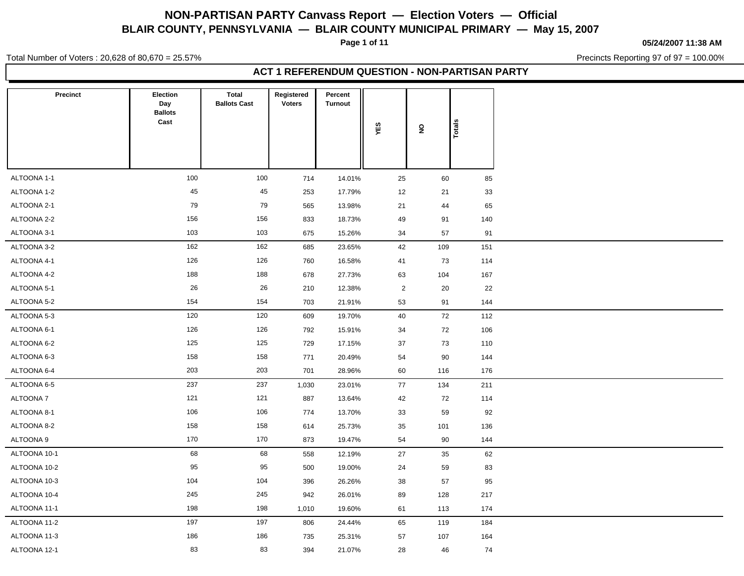**Page 1 of 11**

**05/24/2007 11:38 AM**

Total Number of Voters : 20,628 of 80,670 = 25.57%

Precincts Reporting 97 of 97 = 100.00%

| Precinct     | Election<br>Day<br><b>Ballots</b><br>Cast | <b>Total</b><br><b>Ballots Cast</b> | Registered<br><b>Voters</b> | Percent<br><b>Turnout</b> | YES            | $\mathsf{S}$ | Totals |  |
|--------------|-------------------------------------------|-------------------------------------|-----------------------------|---------------------------|----------------|--------------|--------|--|
|              |                                           |                                     |                             |                           |                |              |        |  |
| ALTOONA 1-1  | 100                                       | 100                                 | 714                         | 14.01%                    | 25             | 60           | 85     |  |
| ALTOONA 1-2  | 45                                        | 45                                  | 253                         | 17.79%                    | 12             | 21           | 33     |  |
| ALTOONA 2-1  | 79                                        | 79                                  | 565                         | 13.98%                    | 21             | 44           | 65     |  |
| ALTOONA 2-2  | 156                                       | 156                                 | 833                         | 18.73%                    | 49             | 91           | 140    |  |
| ALTOONA 3-1  | 103                                       | 103                                 | 675                         | 15.26%                    | 34             | 57           | 91     |  |
| ALTOONA 3-2  | 162                                       | 162                                 | 685                         | 23.65%                    | 42             | 109          | 151    |  |
| ALTOONA 4-1  | 126                                       | 126                                 | 760                         | 16.58%                    | 41             | 73           | 114    |  |
| ALTOONA 4-2  | 188                                       | 188                                 | 678                         | 27.73%                    | 63             | 104          | 167    |  |
| ALTOONA 5-1  | 26                                        | 26                                  | 210                         | 12.38%                    | $\overline{2}$ | 20           | 22     |  |
| ALTOONA 5-2  | 154                                       | 154                                 | 703                         | 21.91%                    | 53             | 91           | 144    |  |
| ALTOONA 5-3  | 120                                       | 120                                 | 609                         | 19.70%                    | 40             | 72           | 112    |  |
| ALTOONA 6-1  | 126                                       | 126                                 | 792                         | 15.91%                    | 34             | 72           | 106    |  |
| ALTOONA 6-2  | 125                                       | 125                                 | 729                         | 17.15%                    | 37             | 73           | 110    |  |
| ALTOONA 6-3  | 158                                       | 158                                 | 771                         | 20.49%                    | 54             | 90           | 144    |  |
| ALTOONA 6-4  | 203                                       | 203                                 | 701                         | 28.96%                    | 60             | 116          | 176    |  |
| ALTOONA 6-5  | 237                                       | 237                                 | 1,030                       | 23.01%                    | 77             | 134          | 211    |  |
| ALTOONA 7    | 121                                       | 121                                 | 887                         | 13.64%                    | 42             | 72           | 114    |  |
| ALTOONA 8-1  | 106                                       | 106                                 | 774                         | 13.70%                    | 33             | 59           | 92     |  |
| ALTOONA 8-2  | 158                                       | 158                                 | 614                         | 25.73%                    | 35             | 101          | 136    |  |
| ALTOONA 9    | 170                                       | 170                                 | 873                         | 19.47%                    | 54             | 90           | 144    |  |
| ALTOONA 10-1 | 68                                        | 68                                  | 558                         | 12.19%                    | 27             | 35           | 62     |  |
| ALTOONA 10-2 | 95                                        | 95                                  | 500                         | 19.00%                    | 24             | 59           | 83     |  |
| ALTOONA 10-3 | 104                                       | 104                                 | 396                         | 26.26%                    | 38             | 57           | 95     |  |
| ALTOONA 10-4 | 245                                       | 245                                 | 942                         | 26.01%                    | 89             | 128          | 217    |  |
| ALTOONA 11-1 | 198                                       | 198                                 | 1,010                       | 19.60%                    | 61             | 113          | 174    |  |
| ALTOONA 11-2 | 197                                       | 197                                 | 806                         | 24.44%                    | 65             | 119          | 184    |  |
| ALTOONA 11-3 | 186                                       | 186                                 | 735                         | 25.31%                    | 57             | 107          | 164    |  |
| ALTOONA 12-1 | 83                                        | 83                                  | 394                         | 21.07%                    | 28             | 46           | 74     |  |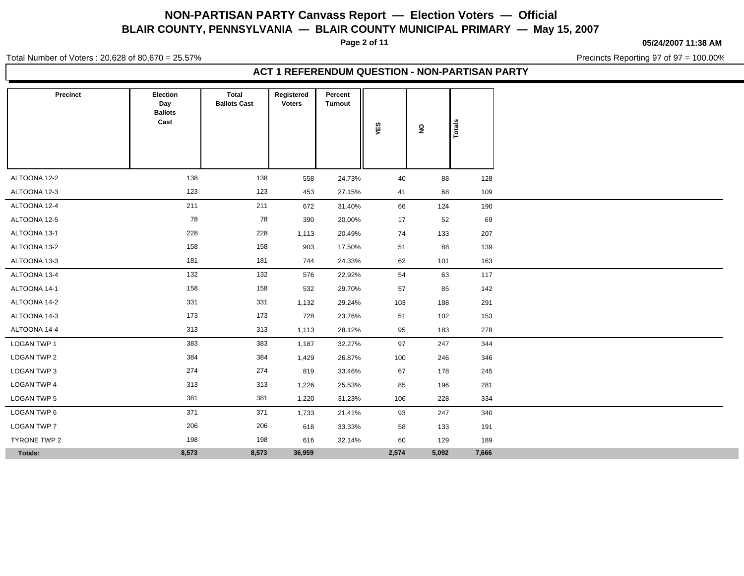**Page 2 of 11**

**05/24/2007 11:38 AM**

Total Number of Voters : 20,628 of 80,670 = 25.57%

Precincts Reporting 97 of 97 = 100.00%

| Precinct           | Election<br>Day<br><b>Ballots</b><br>Cast | Total<br><b>Ballots Cast</b> | Registered<br><b>Voters</b> | Percent<br><b>Turnout</b> | YES   | $\overline{\mathbf{z}}$ | Totals |
|--------------------|-------------------------------------------|------------------------------|-----------------------------|---------------------------|-------|-------------------------|--------|
|                    |                                           |                              |                             |                           |       |                         |        |
| ALTOONA 12-2       | 138                                       | 138                          | 558                         | 24.73%                    | 40    | 88                      | 128    |
| ALTOONA 12-3       | 123                                       | 123                          | 453                         | 27.15%                    | 41    | 68                      | 109    |
| ALTOONA 12-4       | 211                                       | 211                          | 672                         | 31.40%                    | 66    | 124                     | 190    |
| ALTOONA 12-5       | 78                                        | 78                           | 390                         | 20.00%                    | 17    | 52                      | 69     |
| ALTOONA 13-1       | 228                                       | 228                          | 1,113                       | 20.49%                    | 74    | 133                     | 207    |
| ALTOONA 13-2       | 158                                       | 158                          | 903                         | 17.50%                    | 51    | 88                      | 139    |
| ALTOONA 13-3       | 181                                       | 181                          | 744                         | 24.33%                    | 62    | 101                     | 163    |
| ALTOONA 13-4       | 132                                       | 132                          | 576                         | 22.92%                    | 54    | 63                      | 117    |
| ALTOONA 14-1       | 158                                       | 158                          | 532                         | 29.70%                    | 57    | 85                      | 142    |
| ALTOONA 14-2       | 331                                       | 331                          | 1,132                       | 29.24%                    | 103   | 188                     | 291    |
| ALTOONA 14-3       | 173                                       | 173                          | 728                         | 23.76%                    | 51    | 102                     | 153    |
| ALTOONA 14-4       | 313                                       | 313                          | 1,113                       | 28.12%                    | 95    | 183                     | 278    |
| <b>LOGAN TWP 1</b> | 383                                       | 383                          | 1,187                       | 32.27%                    | 97    | 247                     | 344    |
| LOGAN TWP 2        | 384                                       | 384                          | 1,429                       | 26.87%                    | 100   | 246                     | 346    |
| LOGAN TWP 3        | 274                                       | 274                          | 819                         | 33.46%                    | 67    | 178                     | 245    |
| <b>LOGAN TWP 4</b> | 313                                       | 313                          | 1,226                       | 25.53%                    | 85    | 196                     | 281    |
| LOGAN TWP 5        | 381                                       | 381                          | 1,220                       | 31.23%                    | 106   | 228                     | 334    |
| LOGAN TWP 6        | 371                                       | 371                          | 1,733                       | 21.41%                    | 93    | 247                     | 340    |
| <b>LOGAN TWP 7</b> | 206                                       | 206                          | 618                         | 33.33%                    | 58    | 133                     | 191    |
| TYRONE TWP 2       | 198                                       | 198                          | 616                         | 32.14%                    | 60    | 129                     | 189    |
| Totals:            | 8,573                                     | 8,573                        | 36,959                      |                           | 2,574 | 5,092                   | 7,666  |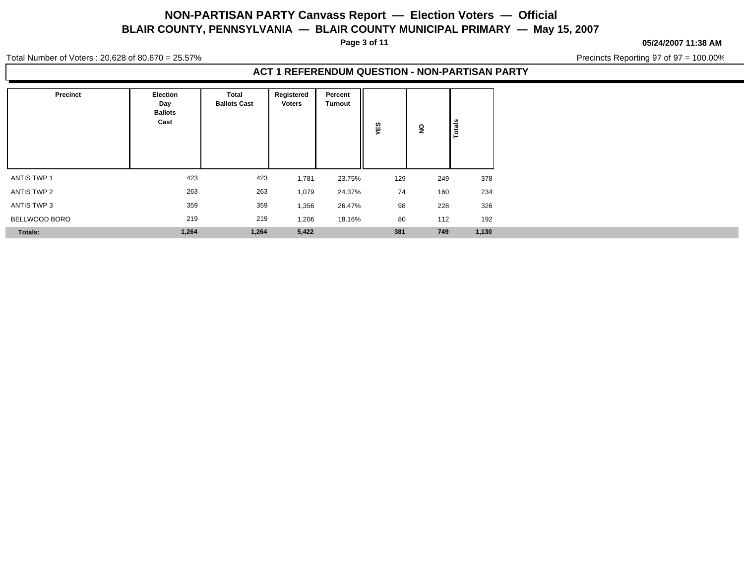**Page 3 of 11**

#### **05/24/2007 11:38 AM**

Total Number of Voters : 20,628 of 80,670 = 25.57%

Precincts Reporting 97 of 97 = 100.00%

| <b>Precinct</b> | <b>Election</b><br>Day<br><b>Ballots</b><br>Cast | <b>Total</b><br><b>Ballots Cast</b> | Registered<br><b>Voters</b> | Percent<br><b>Turnout</b> | ທ<br>Ŵ.<br>$\sim$ | ş   | Totals |
|-----------------|--------------------------------------------------|-------------------------------------|-----------------------------|---------------------------|-------------------|-----|--------|
| ANTIS TWP 1     | 423                                              | 423                                 | 1,781                       | 23.75%                    | 129               | 249 | 378    |
| ANTIS TWP 2     | 263                                              | 263                                 | 1,079                       | 24.37%                    | 74                | 160 | 234    |
| ANTIS TWP 3     | 359                                              | 359                                 | 1,356                       | 26.47%                    | 98                | 228 | 326    |
| BELLWOOD BORO   | 219                                              | 219                                 | 1,206                       | 18.16%                    | 80                | 112 | 192    |
| <b>Totals:</b>  | 1,264                                            | 1,264                               | 5,422                       |                           | 381               | 749 | 1,130  |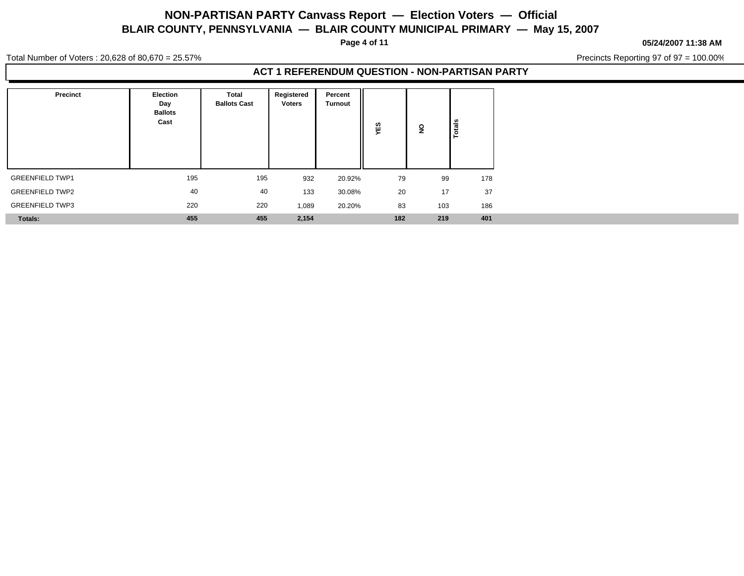**Page 4 of 11**

**05/24/2007 11:38 AM**

Precincts Reporting 97 of 97 = 100.00%

Total Number of Voters : 20,628 of 80,670 = 25.57%

| Precinct               | Election<br>Day<br><b>Ballots</b><br>Cast | Total<br><b>Ballots Cast</b> | Registered<br><b>Voters</b> | Percent<br>Turnout | ဖာ<br>ш<br>≻ | ş   | -   |
|------------------------|-------------------------------------------|------------------------------|-----------------------------|--------------------|--------------|-----|-----|
| <b>GREENFIELD TWP1</b> | 195                                       | 195                          | 932                         | 20.92%             | 79           | 99  | 178 |
| <b>GREENFIELD TWP2</b> | 40                                        | 40                           | 133                         | 30.08%             | 20           | 17  | 37  |
| <b>GREENFIELD TWP3</b> | 220                                       | 220                          | 1,089                       | 20.20%             | 83           | 103 | 186 |
| <b>Totals:</b>         | 455                                       | 455                          | 2,154                       |                    | 182          | 219 | 401 |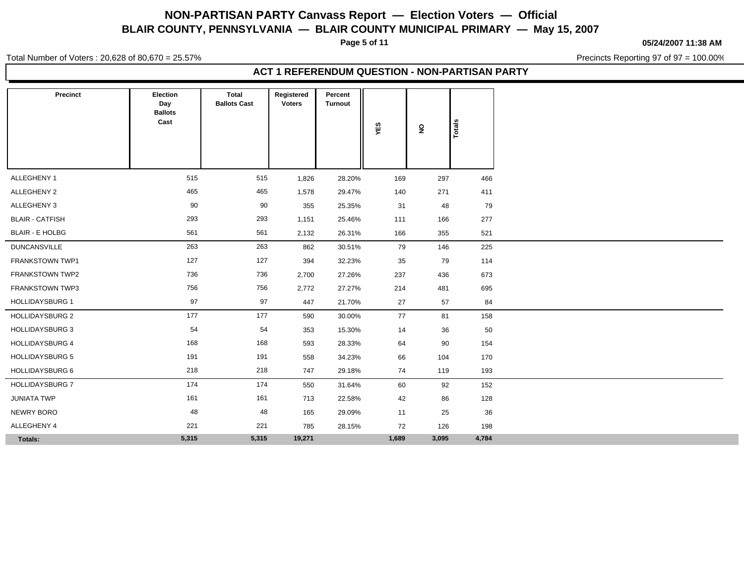**Page 5 of 11**

**05/24/2007 11:38 AM**

Total Number of Voters : 20,628 of 80,670 = 25.57%

Precincts Reporting 97 of 97 = 100.00%

| Precinct               | Election<br>Day        | <b>Total</b><br><b>Ballots Cast</b> | Registered<br><b>Voters</b> | Percent<br><b>Turnout</b> |       |                         |        |
|------------------------|------------------------|-------------------------------------|-----------------------------|---------------------------|-------|-------------------------|--------|
|                        | <b>Ballots</b><br>Cast |                                     |                             |                           | YES   | $\overline{\mathbf{z}}$ | Totals |
|                        |                        |                                     |                             |                           |       |                         |        |
|                        |                        |                                     |                             |                           |       |                         |        |
| ALLEGHENY 1            | 515                    | 515                                 | 1,826                       | 28.20%                    | 169   | 297                     | 466    |
| ALLEGHENY 2            | 465                    | 465                                 | 1,578                       | 29.47%                    | 140   | 271                     | 411    |
| ALLEGHENY 3            | 90                     | 90                                  | 355                         | 25.35%                    | 31    | 48                      | 79     |
| <b>BLAIR - CATFISH</b> | 293                    | 293                                 | 1,151                       | 25.46%                    | 111   | 166                     | 277    |
| <b>BLAIR - E HOLBG</b> | 561                    | 561                                 | 2,132                       | 26.31%                    | 166   | 355                     | 521    |
| <b>DUNCANSVILLE</b>    | 263                    | 263                                 | 862                         | 30.51%                    | 79    | 146                     | 225    |
| FRANKSTOWN TWP1        | 127                    | 127                                 | 394                         | 32.23%                    | 35    | 79                      | 114    |
| FRANKSTOWN TWP2        | 736                    | 736                                 | 2,700                       | 27.26%                    | 237   | 436                     | 673    |
| <b>FRANKSTOWN TWP3</b> | 756                    | 756                                 | 2,772                       | 27.27%                    | 214   | 481                     | 695    |
| <b>HOLLIDAYSBURG 1</b> | 97                     | 97                                  | 447                         | 21.70%                    | 27    | 57                      | 84     |
| <b>HOLLIDAYSBURG 2</b> | 177                    | 177                                 | 590                         | 30.00%                    | 77    | 81                      | 158    |
| <b>HOLLIDAYSBURG 3</b> | 54                     | 54                                  | 353                         | 15.30%                    | 14    | 36                      | 50     |
| <b>HOLLIDAYSBURG 4</b> | 168                    | 168                                 | 593                         | 28.33%                    | 64    | 90                      | 154    |
| <b>HOLLIDAYSBURG 5</b> | 191                    | 191                                 | 558                         | 34.23%                    | 66    | 104                     | 170    |
| <b>HOLLIDAYSBURG 6</b> | 218                    | 218                                 | 747                         | 29.18%                    | 74    | 119                     | 193    |
| <b>HOLLIDAYSBURG 7</b> | 174                    | 174                                 | 550                         | 31.64%                    | 60    | 92                      | 152    |
| <b>JUNIATA TWP</b>     | 161                    | 161                                 | 713                         | 22.58%                    | 42    | 86                      | 128    |
| NEWRY BORO             | 48                     | 48                                  | 165                         | 29.09%                    | 11    | 25                      | 36     |
| ALLEGHENY 4            | 221                    | 221                                 | 785                         | 28.15%                    | 72    | 126                     | 198    |
| Totals:                | 5,315                  | 5,315                               | 19,271                      |                           | 1,689 | 3,095                   | 4,784  |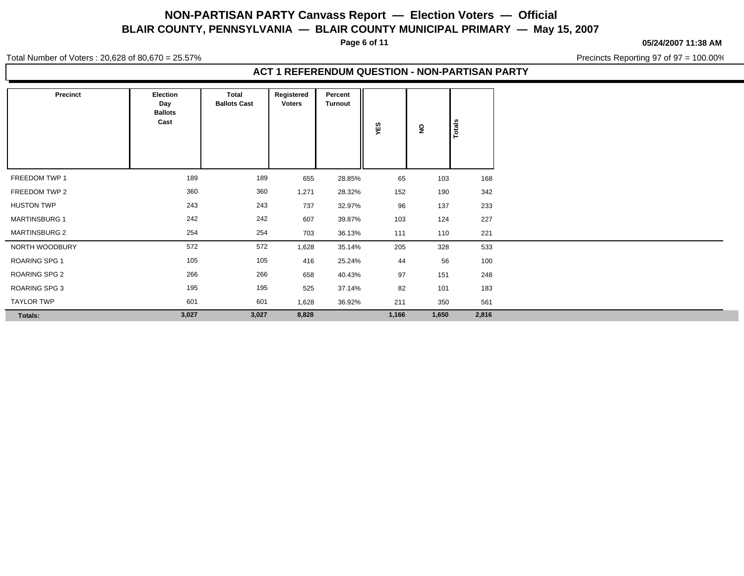**Page 6 of 11**

**05/24/2007 11:38 AM**

Total Number of Voters : 20,628 of 80,670 = 25.57%

Precincts Reporting 97 of 97 = 100.00%

| Precinct             | <b>Election</b><br>Day<br><b>Ballots</b><br>Cast | Total<br><b>Ballots Cast</b> | Registered<br><b>Voters</b> | Percent<br><b>Turnout</b> | YES   | $\overline{\mathbf{z}}$ | Totals |
|----------------------|--------------------------------------------------|------------------------------|-----------------------------|---------------------------|-------|-------------------------|--------|
| FREEDOM TWP 1        | 189                                              | 189                          | 655                         | 28.85%                    | 65    | 103                     | 168    |
| FREEDOM TWP 2        | 360                                              | 360                          | 1,271                       | 28.32%                    | 152   | 190                     | 342    |
| <b>HUSTON TWP</b>    | 243                                              | 243                          | 737                         | 32.97%                    | 96    | 137                     | 233    |
| <b>MARTINSBURG 1</b> | 242                                              | 242                          | 607                         | 39.87%                    | 103   | 124                     | 227    |
| <b>MARTINSBURG 2</b> | 254                                              | 254                          | 703                         | 36.13%                    | 111   | 110                     | 221    |
| NORTH WOODBURY       | 572                                              | 572                          | 1,628                       | 35.14%                    | 205   | 328                     | 533    |
| ROARING SPG 1        | 105                                              | 105                          | 416                         | 25.24%                    | 44    | 56                      | 100    |
| ROARING SPG 2        | 266                                              | 266                          | 658                         | 40.43%                    | 97    | 151                     | 248    |
| ROARING SPG 3        | 195                                              | 195                          | 525                         | 37.14%                    | 82    | 101                     | 183    |
| <b>TAYLOR TWP</b>    | 601                                              | 601                          | 1,628                       | 36.92%                    | 211   | 350                     | 561    |
| Totals:              | 3,027                                            | 3,027                        | 8,828                       |                           | 1,166 | 1,650                   | 2,816  |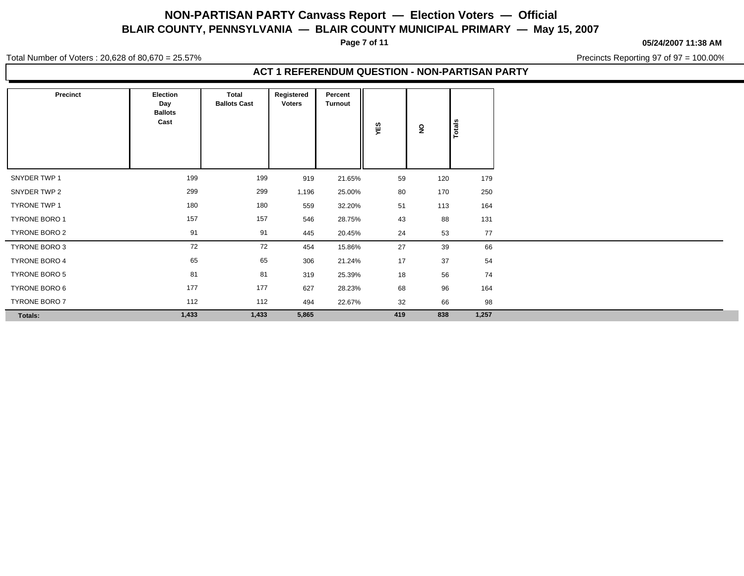**Page 7 of 11**

**05/24/2007 11:38 AM**

Total Number of Voters : 20,628 of 80,670 = 25.57%

Precincts Reporting 97 of 97 = 100.00%

| <b>Precinct</b> | Election<br>Day<br><b>Ballots</b><br>Cast | Total<br><b>Ballots Cast</b> | Registered<br><b>Voters</b> | Percent<br>Turnout | YES | $\overline{\mathbf{z}}$ | <b>otals</b> |
|-----------------|-------------------------------------------|------------------------------|-----------------------------|--------------------|-----|-------------------------|--------------|
| SNYDER TWP 1    | 199                                       | 199                          | 919                         | 21.65%             | 59  | 120                     | 179          |
| SNYDER TWP 2    | 299                                       | 299                          | 1,196                       | 25.00%             | 80  | 170                     | 250          |
| TYRONE TWP 1    | 180                                       | 180                          | 559                         | 32.20%             | 51  | 113                     | 164          |
| TYRONE BORO 1   | 157                                       | 157                          | 546                         | 28.75%             | 43  | 88                      | 131          |
| TYRONE BORO 2   | 91                                        | 91                           | 445                         | 20.45%             | 24  | 53                      | 77           |
| TYRONE BORO 3   | 72                                        | 72                           | 454                         | 15.86%             | 27  | 39                      | 66           |
| TYRONE BORO 4   | 65                                        | 65                           | 306                         | 21.24%             | 17  | 37                      | 54           |
| TYRONE BORO 5   | 81                                        | 81                           | 319                         | 25.39%             | 18  | 56                      | 74           |
| TYRONE BORO 6   | 177                                       | 177                          | 627                         | 28.23%             | 68  | 96                      | 164          |
| TYRONE BORO 7   | 112                                       | 112                          | 494                         | 22.67%             | 32  | 66                      | 98           |
| Totals:         | 1,433                                     | 1,433                        | 5,865                       |                    | 419 | 838                     | 1,257        |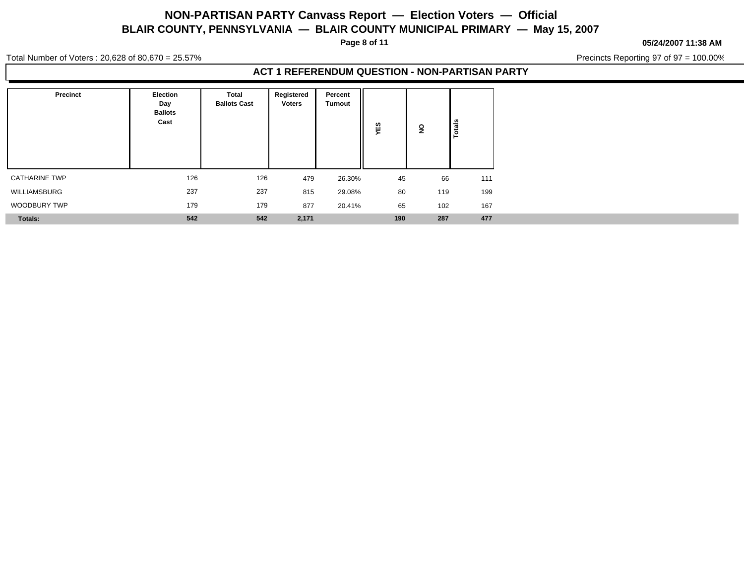**Page 8 of 11**

#### **05/24/2007 11:38 AM**

Total Number of Voters : 20,628 of 80,670 = 25.57%

Precincts Reporting 97 of 97 = 100.00%

| Precinct             | Election<br>Day<br><b>Ballots</b><br>Cast | Total<br><b>Ballots Cast</b> | Registered<br><b>Voters</b> | Percent<br><b>Turnout</b> | w<br>Ŵ.<br>➤ | ş   | otal |
|----------------------|-------------------------------------------|------------------------------|-----------------------------|---------------------------|--------------|-----|------|
| <b>CATHARINE TWP</b> | 126                                       | 126                          | 479                         | 26.30%                    | 45           | 66  | 111  |
| WILLIAMSBURG         | 237                                       | 237                          | 815                         | 29.08%                    | 80           | 119 | 199  |
| WOODBURY TWP         | 179                                       | 179                          | 877                         | 20.41%                    | 65           | 102 | 167  |
| Totals:              | 542                                       | 542                          | 2,171                       |                           | 190          | 287 | 477  |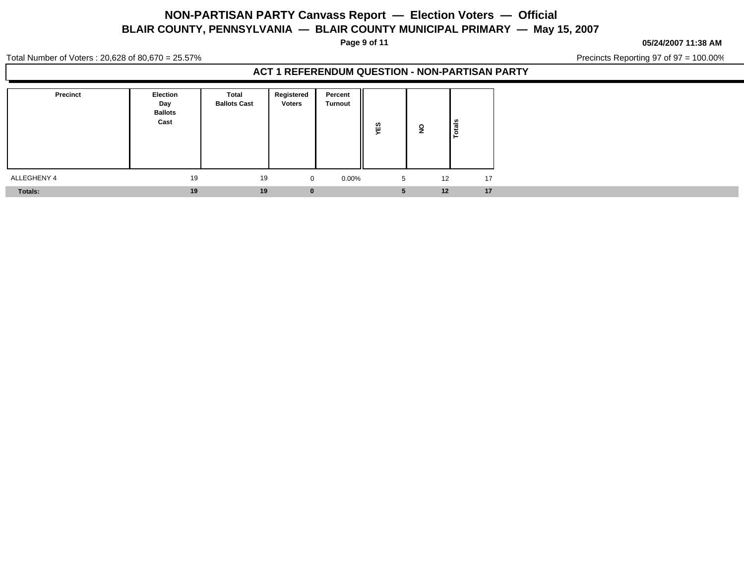**Page 9 of 11**

**05/24/2007 11:38 AM**

Total Number of Voters : 20,628 of 80,670 = 25.57%

Precincts Reporting 97 of 97 = 100.00%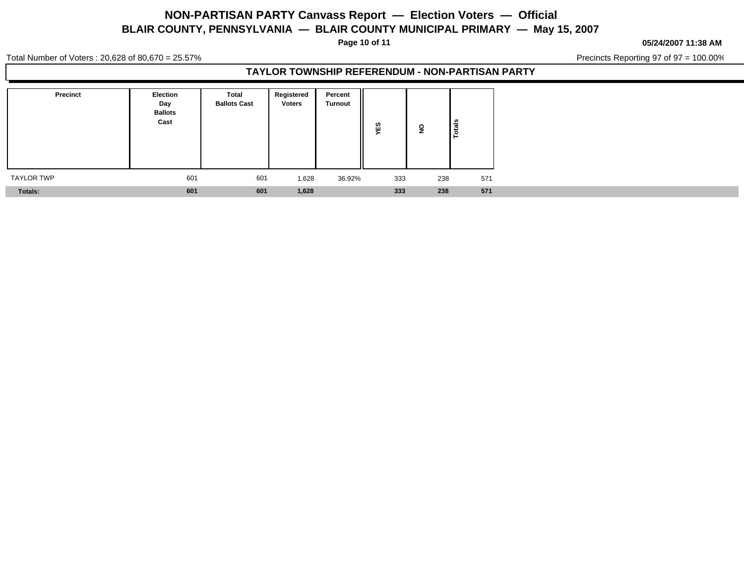**Page 10 of 11**

#### **05/24/2007 11:38 AM**

Total Number of Voters : 20,628 of 80,670 = 25.57%

Precincts Reporting 97 of 97 = 100.00%

### **TAYLOR TOWNSHIP REFERENDUM - NON-PARTISAN PARTY**